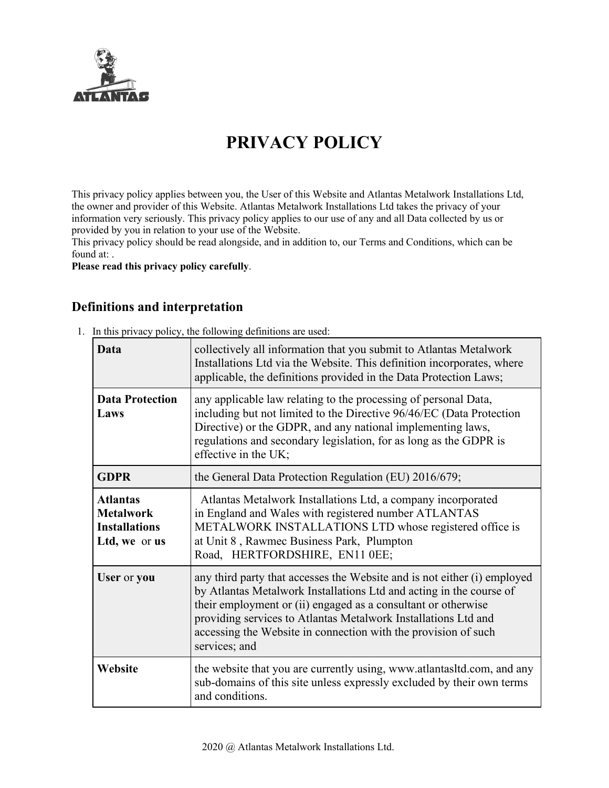

# **PRIVACY POLICY**

This privacy policy applies between you, the User of this Website and Atlantas Metalwork Installations Ltd, the owner and provider of this Website. Atlantas Metalwork Installations Ltd takes the privacy of your information very seriously. This privacy policy applies to our use of any and all Data collected by us or provided by you in relation to your use of the Website.

This privacy policy should be read alongside, and in addition to, our Terms and Conditions, which can be found at:

**Please read this privacy policy carefully**.

#### **Definitions and interpretation**

1. In this privacy policy, the following definitions are used:

| Data                                                                         | collectively all information that you submit to Atlantas Metalwork<br>Installations Ltd via the Website. This definition incorporates, where<br>applicable, the definitions provided in the Data Protection Laws;                                                                                                                                                     |
|------------------------------------------------------------------------------|-----------------------------------------------------------------------------------------------------------------------------------------------------------------------------------------------------------------------------------------------------------------------------------------------------------------------------------------------------------------------|
| <b>Data Protection</b><br>Laws                                               | any applicable law relating to the processing of personal Data,<br>including but not limited to the Directive 96/46/EC (Data Protection<br>Directive) or the GDPR, and any national implementing laws,<br>regulations and secondary legislation, for as long as the GDPR is<br>effective in the UK;                                                                   |
| <b>GDPR</b>                                                                  | the General Data Protection Regulation (EU) 2016/679;                                                                                                                                                                                                                                                                                                                 |
| <b>Atlantas</b><br><b>Metalwork</b><br><b>Installations</b><br>Ltd, we or us | Atlantas Metalwork Installations Ltd, a company incorporated<br>in England and Wales with registered number ATLANTAS<br>METALWORK INSTALLATIONS LTD whose registered office is<br>at Unit 8, Rawmec Business Park, Plumpton<br>Road, HERTFORDSHIRE, EN11 0EE;                                                                                                         |
| User or you                                                                  | any third party that accesses the Website and is not either (i) employed<br>by Atlantas Metalwork Installations Ltd and acting in the course of<br>their employment or (ii) engaged as a consultant or otherwise<br>providing services to Atlantas Metalwork Installations Ltd and<br>accessing the Website in connection with the provision of such<br>services; and |
| Website                                                                      | the website that you are currently using, www.atlantasltd.com, and any<br>sub-domains of this site unless expressly excluded by their own terms<br>and conditions.                                                                                                                                                                                                    |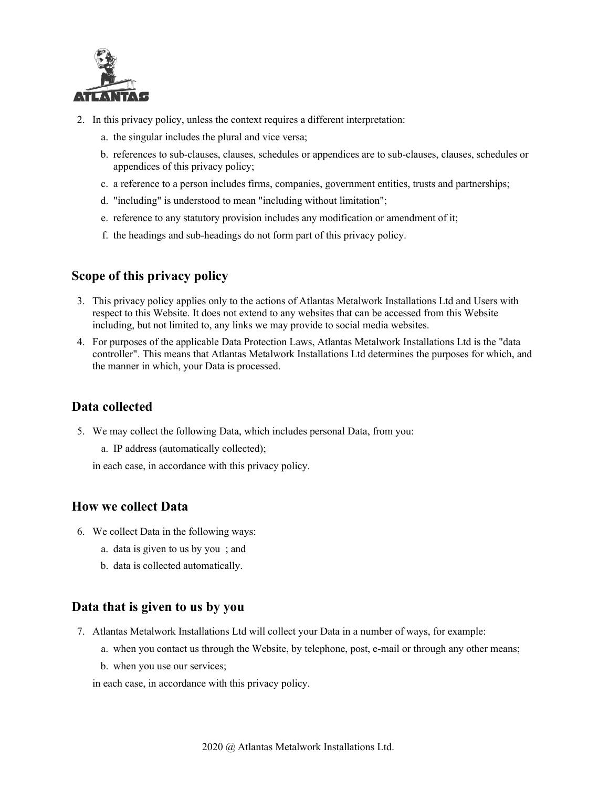

- 2. In this privacy policy, unless the context requires a different interpretation:
	- a. the singular includes the plural and vice versa;
	- b. references to sub-clauses, clauses, schedules or appendices are to sub-clauses, clauses, schedules or appendices of this privacy policy;
	- c. a reference to a person includes firms, companies, government entities, trusts and partnerships;
	- d. "including" is understood to mean "including without limitation";
	- e. reference to any statutory provision includes any modification or amendment of it;
	- f. the headings and sub-headings do not form part of this privacy policy.

#### **Scope of this privacy policy**

- 3. This privacy policy applies only to the actions of Atlantas Metalwork Installations Ltd and Users with respect to this Website. It does not extend to any websites that can be accessed from this Website including, but not limited to, any links we may provide to social media websites.
- 4. For purposes of the applicable Data Protection Laws, Atlantas Metalwork Installations Ltd is the "data controller". This means that Atlantas Metalwork Installations Ltd determines the purposes for which, and the manner in which, your Data is processed.

## **Data collected**

5. We may collect the following Data, which includes personal Data, from you:

a. IP address (automatically collected);

in each case, in accordance with this privacy policy.

#### **How we collect Data**

- 6. We collect Data in the following ways:
	- a. data is given to us by you ; and
	- b. data is collected automatically.

#### **Data that is given to us by you**

- 7. Atlantas Metalwork Installations Ltd will collect your Data in a number of ways, for example:
	- a. when you contact us through the Website, by telephone, post, e-mail or through any other means;
	- b. when you use our services;

in each case, in accordance with this privacy policy.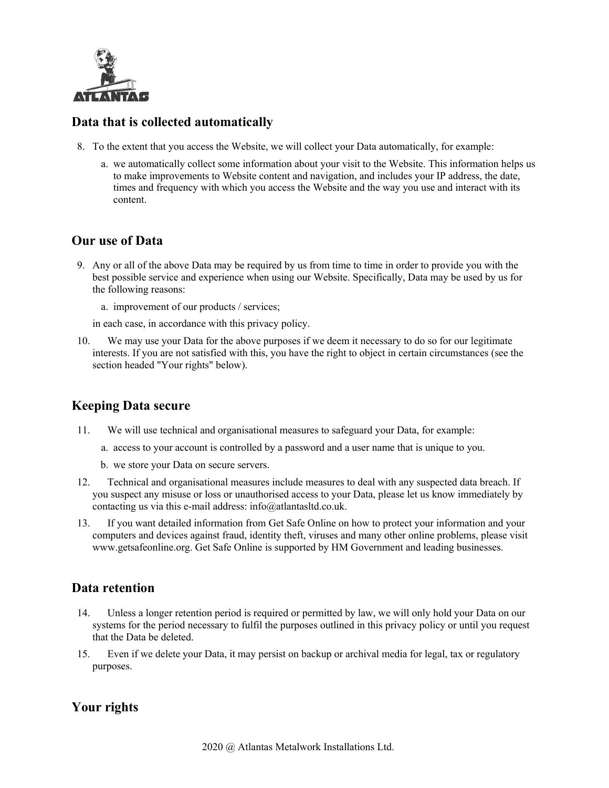

### **Data that is collected automatically**

- 8. To the extent that you access the Website, we will collect your Data automatically, for example:
	- a. we automatically collect some information about your visit to the Website. This information helps us to make improvements to Website content and navigation, and includes your IP address, the date, times and frequency with which you access the Website and the way you use and interact with its content.

#### **Our use of Data**

9. Any or all of the above Data may be required by us from time to time in order to provide you with the best possible service and experience when using our Website. Specifically, Data may be used by us for the following reasons:

a. improvement of our products / services;

in each case, in accordance with this privacy policy.

10. We may use your Data for the above purposes if we deem it necessary to do so for our legitimate interests. If you are not satisfied with this, you have the right to object in certain circumstances (see the section headed "Your rights" below).

## **Keeping Data secure**

- 11. We will use technical and organisational measures to safeguard your Data, for example:
	- a. access to your account is controlled by a password and a user name that is unique to you.
	- b. we store your Data on secure servers.
- 12. Technical and organisational measures include measures to deal with any suspected data breach. If you suspect any misuse or loss or unauthorised access to your Data, please let us know immediately by contacting us via this e-mail address: info@atlantasltd.co.uk.
- 13. If you want detailed information from Get Safe Online on how to protect your information and your computers and devices against fraud, identity theft, viruses and many other online problems, please visit www.getsafeonline.org. Get Safe Online is supported by HM Government and leading businesses.

## **Data retention**

- 14. Unless a longer retention period is required or permitted by law, we will only hold your Data on our systems for the period necessary to fulfil the purposes outlined in this privacy policy or until you request that the Data be deleted.
- 15. Even if we delete your Data, it may persist on backup or archival media for legal, tax or regulatory purposes.

# **Your rights**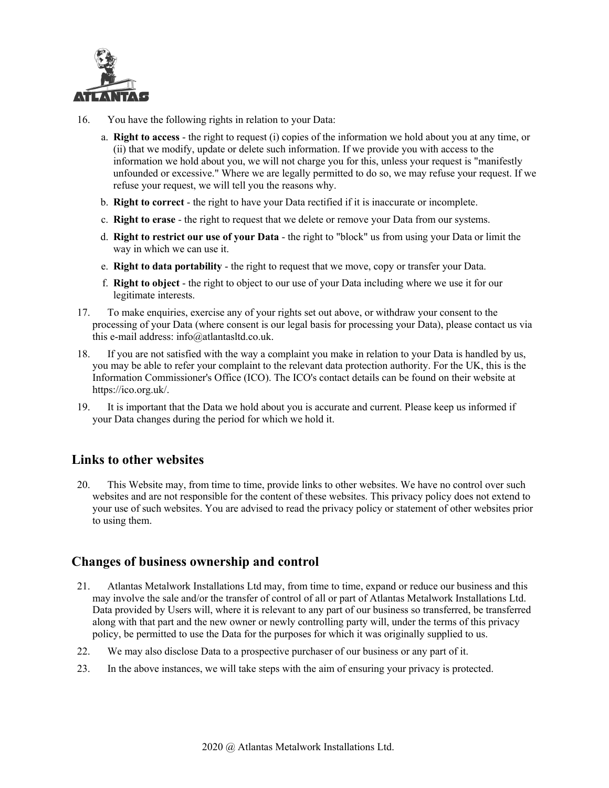

- 16. You have the following rights in relation to your Data:
	- a. **Right to access** the right to request (i) copies of the information we hold about you at any time, or (ii) that we modify, update or delete such information. If we provide you with access to the information we hold about you, we will not charge you for this, unless your request is "manifestly unfounded or excessive." Where we are legally permitted to do so, we may refuse your request. If we refuse your request, we will tell you the reasons why.
	- b. **Right to correct** the right to have your Data rectified if it is inaccurate or incomplete.
	- c. **Right to erase** the right to request that we delete or remove your Data from our systems.
	- d. **Right to restrict our use of your Data** the right to "block" us from using your Data or limit the way in which we can use it.
	- e. **Right to data portability** the right to request that we move, copy or transfer your Data.
	- f. **Right to object** the right to object to our use of your Data including where we use it for our legitimate interests.
- 17. To make enquiries, exercise any of your rights set out above, or withdraw your consent to the processing of your Data (where consent is our legal basis for processing your Data), please contact us via this e-mail address: info@atlantasltd.co.uk.
- 18. If you are not satisfied with the way a complaint you make in relation to your Data is handled by us, you may be able to refer your complaint to the relevant data protection authority. For the UK, this is the Information Commissioner's Office (ICO). The ICO's contact details can be found on their website at https://ico.org.uk/.
- 19. It is important that the Data we hold about you is accurate and current. Please keep us informed if your Data changes during the period for which we hold it.

## **Links to other websites**

20. This Website may, from time to time, provide links to other websites. We have no control over such websites and are not responsible for the content of these websites. This privacy policy does not extend to your use of such websites. You are advised to read the privacy policy or statement of other websites prior to using them.

## **Changes of business ownership and control**

- 21. Atlantas Metalwork Installations Ltd may, from time to time, expand or reduce our business and this may involve the sale and/or the transfer of control of all or part of Atlantas Metalwork Installations Ltd. Data provided by Users will, where it is relevant to any part of our business so transferred, be transferred along with that part and the new owner or newly controlling party will, under the terms of this privacy policy, be permitted to use the Data for the purposes for which it was originally supplied to us.
- 22. We may also disclose Data to a prospective purchaser of our business or any part of it.
- 23. In the above instances, we will take steps with the aim of ensuring your privacy is protected.